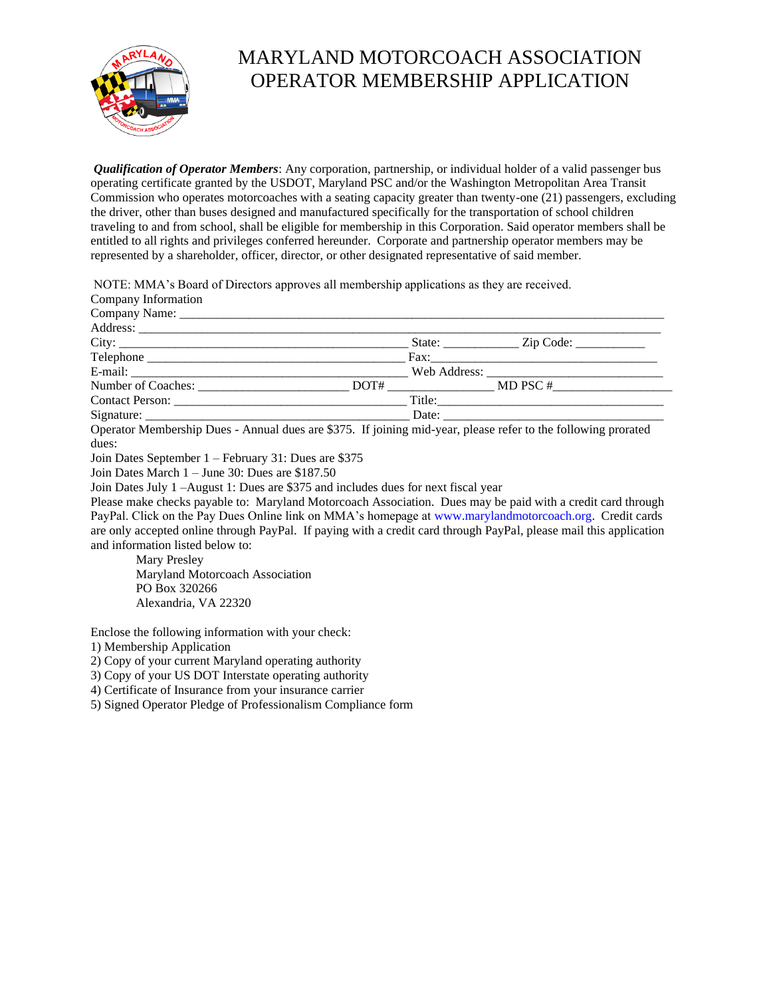

## MARYLAND MOTORCOACH ASSOCIATION OPERATOR MEMBERSHIP APPLICATION

*Qualification of Operator Members*: Any corporation, partnership, or individual holder of a valid passenger bus operating certificate granted by the USDOT, Maryland PSC and/or the Washington Metropolitan Area Transit Commission who operates motorcoaches with a seating capacity greater than twenty-one (21) passengers, excluding the driver, other than buses designed and manufactured specifically for the transportation of school children traveling to and from school, shall be eligible for membership in this Corporation. Said operator members shall be entitled to all rights and privileges conferred hereunder. Corporate and partnership operator members may be represented by a shareholder, officer, director, or other designated representative of said member.

NOTE: MMA's Board of Directors approves all membership applications as they are received.

|                     | <u>i il international de la contrada de la contrada de la contrada de la contrada de la contrada de la contrada d</u> |                                                                                                                                                                                                                                                                                                                                                                                        |  |
|---------------------|-----------------------------------------------------------------------------------------------------------------------|----------------------------------------------------------------------------------------------------------------------------------------------------------------------------------------------------------------------------------------------------------------------------------------------------------------------------------------------------------------------------------------|--|
| Company Information |                                                                                                                       |                                                                                                                                                                                                                                                                                                                                                                                        |  |
|                     |                                                                                                                       |                                                                                                                                                                                                                                                                                                                                                                                        |  |
|                     |                                                                                                                       |                                                                                                                                                                                                                                                                                                                                                                                        |  |
| City:               |                                                                                                                       |                                                                                                                                                                                                                                                                                                                                                                                        |  |
|                     |                                                                                                                       |                                                                                                                                                                                                                                                                                                                                                                                        |  |
|                     |                                                                                                                       | E-mail: Web Address: Web Address:                                                                                                                                                                                                                                                                                                                                                      |  |
|                     |                                                                                                                       | Number of Coaches: $\sqrt{\frac{1}{2} + \frac{1}{2} + \frac{1}{2} + \frac{1}{2} + \frac{1}{2} + \frac{1}{2} + \frac{1}{2} + \frac{1}{2} + \frac{1}{2} + \frac{1}{2} + \frac{1}{2} + \frac{1}{2} + \frac{1}{2} + \frac{1}{2} + \frac{1}{2} + \frac{1}{2} + \frac{1}{2} + \frac{1}{2} + \frac{1}{2} + \frac{1}{2} + \frac{1}{2} + \frac{1}{2} + \frac{1}{2} + \frac{1}{2} + \frac{1}{2}$ |  |
|                     |                                                                                                                       |                                                                                                                                                                                                                                                                                                                                                                                        |  |
|                     |                                                                                                                       |                                                                                                                                                                                                                                                                                                                                                                                        |  |
|                     |                                                                                                                       | Operator Membership Dues Annual dues are \$375. If joining mid year, places refer to the following proroted                                                                                                                                                                                                                                                                            |  |

Operator Membership Dues - Annual dues are \$375. If joining mid-year, please refer to the following prorated dues:

Join Dates September 1 – February 31: Dues are \$375

Join Dates March 1 – June 30: Dues are \$187.50

Join Dates July 1 –August 1: Dues are \$375 and includes dues for next fiscal year

Please make checks payable to: Maryland Motorcoach Association. Dues may be paid with a credit card through PayPal. Click on the Pay Dues Online link on MMA's homepage at www.marylandmotorcoach.org. Credit cards are only accepted online through PayPal. If paying with a credit card through PayPal, please mail this application and information listed below to:

Mary Presley Maryland Motorcoach Association PO Box 320266 Alexandria, VA 22320

Enclose the following information with your check:

1) Membership Application

2) Copy of your current Maryland operating authority

3) Copy of your US DOT Interstate operating authority

4) Certificate of Insurance from your insurance carrier

5) Signed Operator Pledge of Professionalism Compliance form